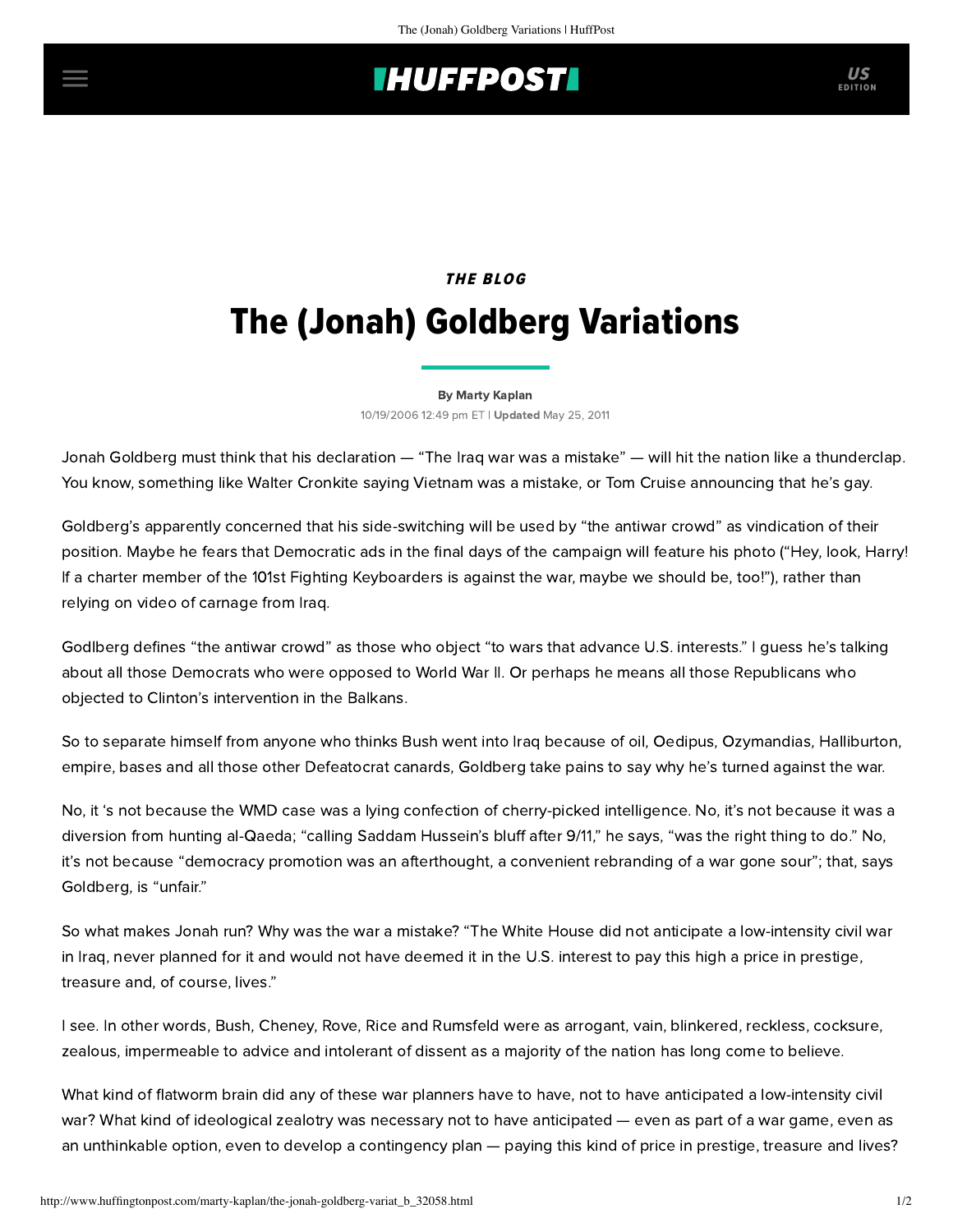## **INUFFPOSTI** US

# THE BLOG The (Jonah) Goldberg Variations

### [By Marty Kaplan](http://www.huffingtonpost.com/author/marty-kaplan)

10/19/2006 12:49 pm ET | Updated May 25, 2011

Jonah Goldberg must think that his declaration — ["The Iraq war was a mistake"](http://www.latimes.com/news/opinion/la-oe-goldberg19oct19,0,5993806.column?coll=la-opinion-center) — will hit the nation like a thunderclap. You know, something like Walter Cronkite saying Vietnam was a mistake, or Tom Cruise announcing that he's gay.

Goldberg's apparently concerned that his side-switching will be used by "the antiwar crowd" as vindication of their position. Maybe he fears that Democratic ads in the final days of the campaign will feature his photo ("Hey, look, Harry! If a charter member of the 101st Fighting Keyboarders is against the war, maybe we should be, too!"), rather than relying on video of carnage from Iraq.

Godlberg defines "the antiwar crowd" as those who object "to wars that advance U.S. interests." I guess he's talking about all those Democrats who were opposed to World War II. Or perhaps he means all those Republicans who objected to Clinton's intervention in the Balkans.

So to separate himself from anyone who thinks Bush went into Iraq because of oil, Oedipus, Ozymandias, Halliburton, empire, bases and all those other Defeatocrat canards, Goldberg take pains to say why he's turned against the war.

No, it 's not because the WMD case was a lying confection of cherry-picked intelligence. No, it's not because it was a diversion from hunting al-Qaeda; "calling Saddam Hussein's bluff after 9/11," he says, "was the right thing to do." No, it's not because "democracy promotion was an afterthought, a convenient rebranding of a war gone sour"; that, says Goldberg, is "unfair."

So what makes Jonah run? Why was the war a mistake? "The White House did not anticipate a low-intensity civil war in Iraq, never planned for it and would not have deemed it in the U.S. interest to pay this high a price in prestige, treasure and, of course, lives."

I see. In other words, Bush, Cheney, Rove, Rice and Rumsfeld were as arrogant, vain, blinkered, reckless, cocksure, zealous, impermeable to advice and intolerant of dissent as a majority of the nation has long come to believe.

What kind of flatworm brain did any of these war planners have to have, not to have anticipated a low-intensity civil war? What kind of ideological zealotry was necessary not to have anticipated — even as part of a war game, even as an unthinkable option, even to develop a contingency plan — paying this kind of price in prestige, treasure and lives?